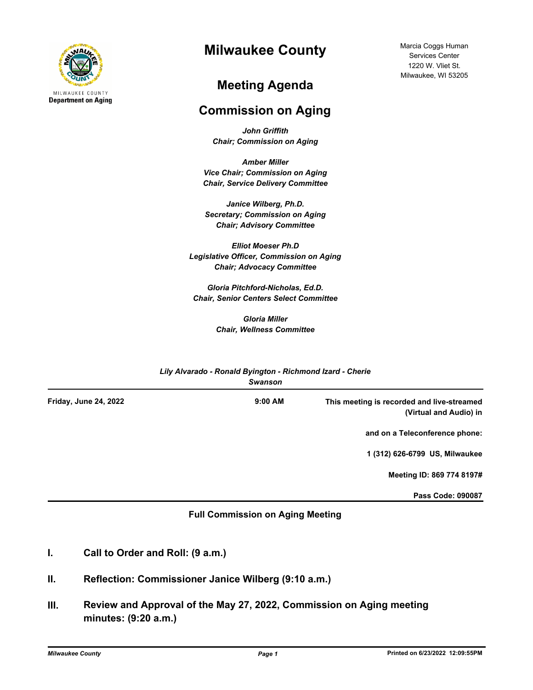

## **Milwaukee County**

## **Meeting Agenda**

## **Commission on Aging**

*John Griffith Chair; Commission on Aging*

*Amber Miller Vice Chair; Commission on Aging Chair, Service Delivery Committee*

*Janice Wilberg, Ph.D. Secretary; Commission on Aging Chair; Advisory Committee*

*Elliot Moeser Ph.D Legislative Officer, Commission on Aging Chair; Advocacy Committee* 

*Gloria Pitchford-Nicholas, Ed.D. Chair, Senior Centers Select Committee*

> *Gloria Miller Chair, Wellness Committee*

| Lily Alvarado - Ronald Byington - Richmond Izard - Cherie<br><b>Swanson</b> |                       |
|-----------------------------------------------------------------------------|-----------------------|
| $9:00$ AM                                                                   | Friday, June 24, 2022 |
|                                                                             |                       |
|                                                                             |                       |
|                                                                             |                       |
|                                                                             |                       |
|                                                                             |                       |

## **Full Commission on Aging Meeting**

- **I. Call to Order and Roll: (9 a.m.)**
- **II. Reflection: Commissioner Janice Wilberg (9:10 a.m.)**
- **III. Review and Approval of the May 27, 2022, Commission on Aging meeting minutes: (9:20 a.m.)**

Marcia Coggs Human Services Center 1220 W. Vliet St. Milwaukee, WI 53205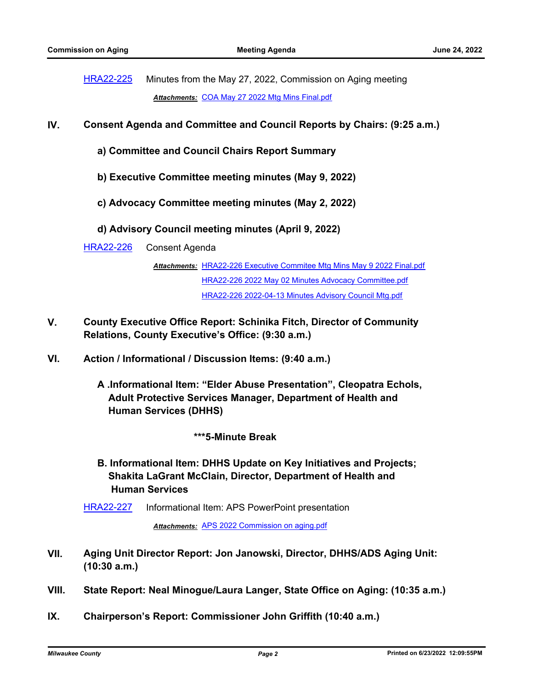[HRA22-225](http://milwaukeecounty.legistar.com/gateway.aspx?m=l&id=/matter.aspx?key=12480) Minutes from the May 27, 2022, Commission on Aging meeting *Attachments:* [COA May 27 2022 Mtg Mins Final.pdf](http://MilwaukeeCounty.legistar.com/gateway.aspx?M=F&ID=5728935a-197e-4509-b286-2527989ae455.pdf)

- **IV. Consent Agenda and Committee and Council Reports by Chairs: (9:25 a.m.)**
	- **a) Committee and Council Chairs Report Summary**
	- **b) Executive Committee meeting minutes (May 9, 2022)**
	- **c) Advocacy Committee meeting minutes (May 2, 2022)**
	- **d) Advisory Council meeting minutes (April 9, 2022)**

[HRA22-226](http://milwaukeecounty.legistar.com/gateway.aspx?m=l&id=/matter.aspx?key=12481) Consent Agenda

Attachments: [HRA22-226 Executive Commitee Mtg Mins May 9 2022 Final.pdf](http://MilwaukeeCounty.legistar.com/gateway.aspx?M=F&ID=cef00171-6983-4ab7-a040-9819ab571038.pdf) [HRA22-226 2022 May 02 Minutes Advocacy Committee.pdf](http://MilwaukeeCounty.legistar.com/gateway.aspx?M=F&ID=760dcc7b-9351-4a0e-9cdb-3a22748be0de.pdf) [HRA22-226 2022-04-13 Minutes Advisory Council Mtg.pdf](http://MilwaukeeCounty.legistar.com/gateway.aspx?M=F&ID=4dcfcbeb-ba7a-4896-bfaa-6e98ad304cdb.pdf)

- **V. County Executive Office Report: Schinika Fitch, Director of Community Relations, County Executive's Office: (9:30 a.m.)**
- **VI. Action / Informational / Discussion Items: (9:40 a.m.)**
	- **A .Informational Item: "Elder Abuse Presentation", Cleopatra Echols, Adult Protective Services Manager, Department of Health and Human Services (DHHS)**

 **\*\*\*5-Minute Break**

- **B. Informational Item: DHHS Update on Key Initiatives and Projects; Shakita LaGrant McClain, Director, Department of Health and Human Services**
- [HRA22-227](http://milwaukeecounty.legistar.com/gateway.aspx?m=l&id=/matter.aspx?key=12482) Informational Item: APS PowerPoint presentation

*Attachments:* [APS 2022 Commission on aging.pdf](http://MilwaukeeCounty.legistar.com/gateway.aspx?M=F&ID=732dd237-c4e4-4925-bc73-8da4aed25eb8.pdf)

- **VII. Aging Unit Director Report: Jon Janowski, Director, DHHS/ADS Aging Unit: (10:30 a.m.)**
- **VIII. State Report: Neal Minogue/Laura Langer, State Office on Aging: (10:35 a.m.)**
- **IX. Chairperson's Report: Commissioner John Griffith (10:40 a.m.)**